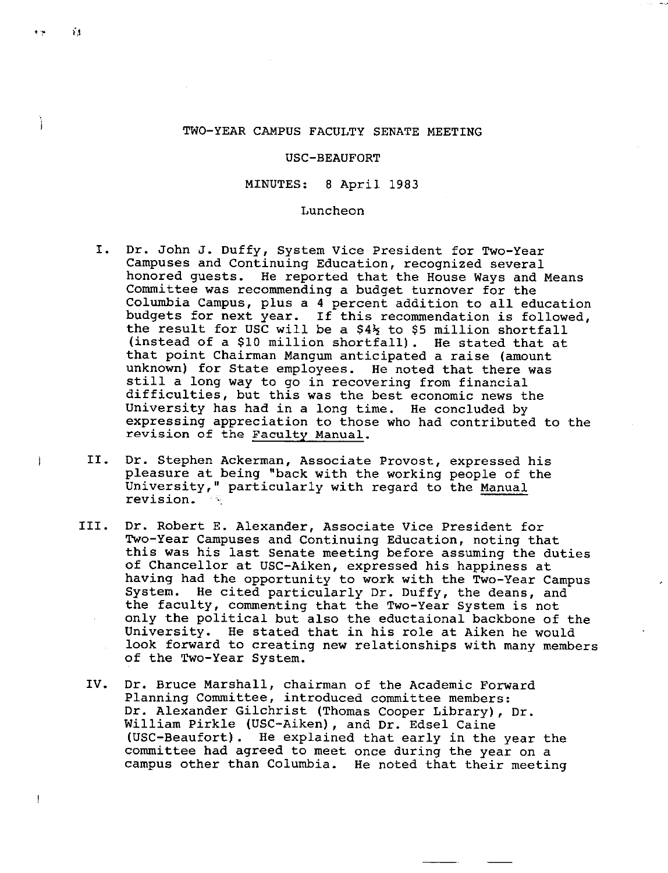### TWO-YEAR CAMPUS FACULTY SENATE MEETING

### USC-BEAUFORT

### MINUTES: 8 April 1983

#### Luncheon

- I. Dr. John J. Duffy, System Vice President for Two-Year Campuses and Continuing Education, recognized several honored guests. He reported that the House Ways and Means Committee was recommending a budget turnover for the Columbia Campus, plus a 4 percent addition to all education budgets for next year. If this recommendation is followed, the result for USC will be a *\$4½* to \$5 million shortfall (instead of a \$10 million shortfall). He stated that at that point Chairman Mangum anticipated a raise (amount unknown) for State employees. He noted that there was still a long way to go in recovering from financial difficulties, but this was the best economic news the University has had in a long time. He concluded by expressing appreciation to those who had contributed to the revision of the Faculty Manual.
- II. Dr. Stephen Ackerman, Associate Provost, expressed his pleasure at being "back with the working people of the University," particularly with regard to the Manual revision.
- III. Dr. Robert E. Alexander, Associate Vice President for Two-Year Campuses and Continuing Education, noting that this was his last Senate meeting before assuming the duties of Chancellor at USC-Aiken, expressed his happiness at having had the opportunity to work with the Two-Year Campus System. He cited particularly Dr. Duffy, the deans, and the faculty, commenting that the Two-Year System is not only the political but also the eductaional backbone of the University. He stated that in his role at Aiken he would look forward to creating new relationships with many members of the Two-Year System.
- IV. Dr. Bruce Marshall, chairman of the Academic Forward Planning Committee, introduced committee members: Dr. Alexander Gilchrist (Thomas Cooper Library), Dr. William Pirkle (USC-Aiken), and Dr. Edsel Caine (USC-Beaufort). He explained that early in the year the committee had agreed to meet once during the year on a campus other than Columbia. He noted that their meeting

Ì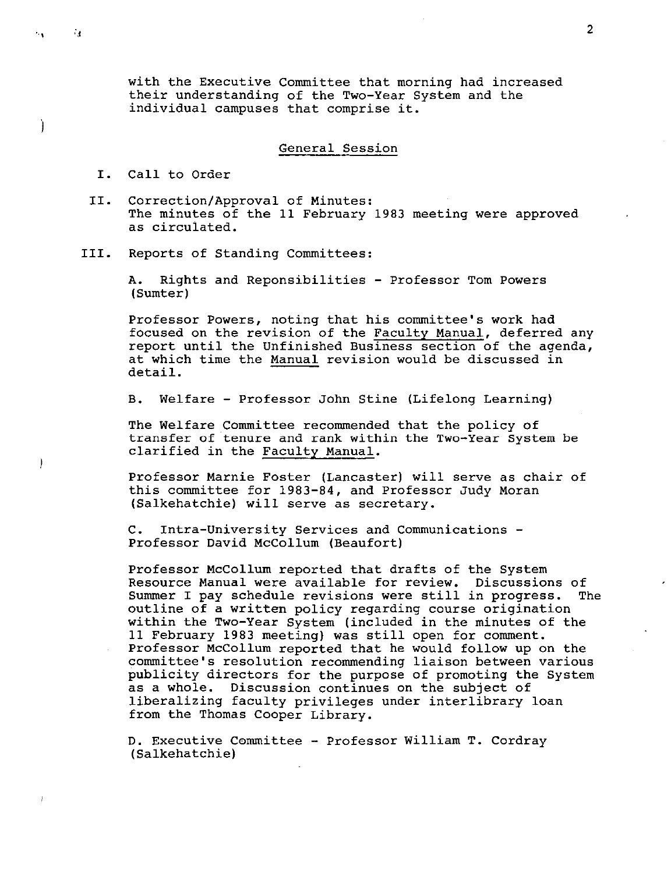with the Executive Committee that morning had increased their understanding of the Two-Year System and the individual campuses that comprise it.

#### General Session

I. Call to Order

 $\mathbf{A}$ 

Ì

 $\mathbf{I}$ 

 $\sim 10$ 

- II. Correction/Approval of Minutes: The minutes of the 11 February 1983 meeting were approved as circulated.
- III. Reports of Standing Committees:

A. Rights and Reponsibilities - Professor Tom Powers (Sumter)

Professor Powers, noting that his committee's work had focused on the revision of the Faculty Manual, deferred any report until the Unfinished Business section of the agenda, at which time the Manual revision would be discussed in detail.

B. Welfare - Professor John Stine (Lifelong Learning)

The Welfare Committee recommended that the policy of transfer of tenure and rank within the Two-Year System be clarified in the Faculty Manual.

Professor Marnie Foster (Lancaster) will serve as chair of this committee for 1983-84, and Professor Judy Moran (Salkehatchie) will serve as secretary.

C. Intra-University Services and Communications - Professor David Mccollum (Beaufort)

Professor McCollum reported that drafts of the System Resource Manual were available for review. Discussions of Summer I pay schedule revisions were still in progress. The outline of a written policy regarding course origination within the Two-Year System (included in the minutes of the 11 February 1983 meeting) was still open for comment. Professor Mccollum reported that he would follow up on the committee's resolution recommending liaison between various publicity directors for the purpose of promoting the System as a whole. Discussion continues on the subject of liberalizing faculty privileges under interlibrary loan from the Thomas Cooper Library.

D. Executive Committee - Professor William T. Cordray (Salkehatchie)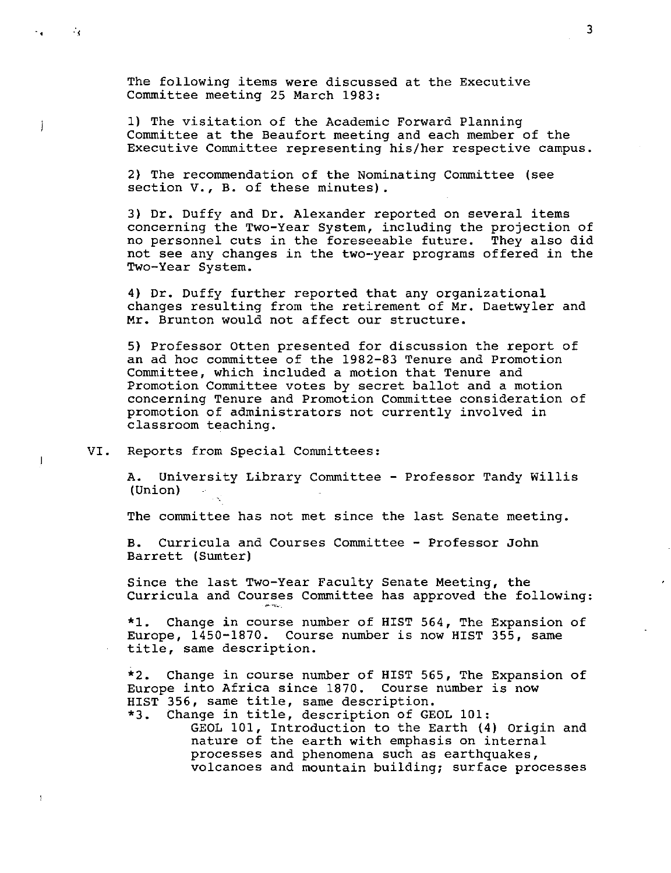The following items were discussed at the Executive Committee meeting 25 March 1983:

1) The visitation of the Academic Forward Planning Committee at the Beaufort meeting and each member of the Executive Committee representing his/her respective campus.

2) The recommendation of the Nominating Committee (see section V., B. of these minutes).

3) Dr. Duffy and Dr. Alexander reported on several items concerning the Two-Year System, including the projection of no personnel cuts in the foreseeable future. They also did not see any changes in the two-·year programs offered in the Two-Year System.

4) Dr. Duffy further reported that any organizational changes resulting from the retirement of Mr. Daetwyler and Mr. Brunton would not affect our structure.

5) Professor Otten presented for discussion the report of an ad hoc committee of the 1982-83 Tenure and Promotion Committee, which included a motion that Tenure and Promotion Committee votes by secret ballot and a motion concerning Tenure and Promotion Committee consideration of promotion of administrators not currently involved in classroom teaching.

VI. Reports from Special Committees:

.,

na l

Ť

 $\mathbf{I}$ 

A. University Library Committee - Professor Tandy Willis (Union)  $\Delta\sigma$ 

The committee has not met since the last Senate meeting.

B. Curricula and Courses Committee - Professor John Barrett (Sumter)

Since the last Two-Year Faculty Senate Meeting, the Curricula and Courses Committee has approved the following:

\*1. Change in course number of HIST 564, The Expansion of Europe, 1450-1870. Course number is now HIST 355, same title, same description.

\*2. Change in course number of HIST 565, The Expansion of Europe into Africa since 1870. Course number is now HIST 356, same title, same description.

\*3. Change in title, description of GEOL 101: GEOL 101, Introduction to the Earth (4) Origin and nature of the earth with emphasis on internal processes and phenomena such as earthquakes, volcanoes and mountain building; surface processes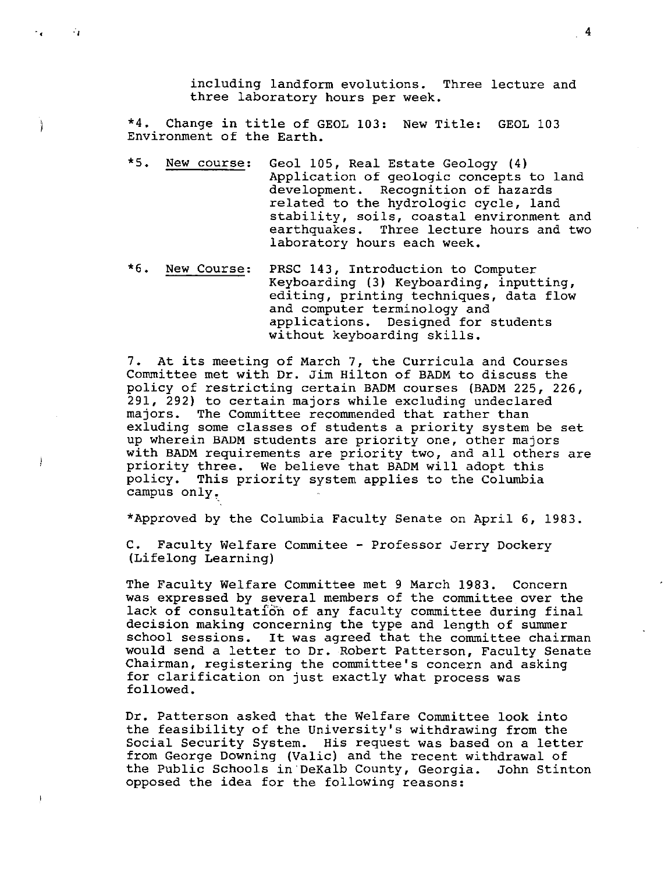including landform evolutions. Three lecture and three laboratory hours per week.

\*4. Change *in* title of GEOL 103: New Title: GEOL 103 Environment of the Earth.

.,

ł

 $\,$   $\,$ 

- \*5. New course: Geol 105, Real Estate Geology (4) Application of geologic concepts to land development. Recognition of hazards related to the hydrologic cycle, land stability, soils, coastal environment and earthquakes. Three lecture hours and two laboratory hours each week.
- \*6. New Course: PRSC 143, Introduction to Computer Keyboarding (3) Keyboarding, inputting, editing, printing techniques, data flow and computer terminology and applications. Designed for students without keyboarding skills.

7. At its meeting of March 7, the Curricula and Courses Committee met with Dr. Jim Hilton of BADM to discuss the policy of restricting certain BADM courses (BADM 225, 226, 291, 292) to certain majors while excluding undeclared majors. The Committee recommended that rather than exluding some classes of students a priority system be set up wherein BADM students are priority one, other majors with BADM requirements are priority two, and all others are priority three. We believe that BADM will adopt this policy. This priority system applies to the Columbia campus only.

\*Approved by the Columbia Faculty Senate on April 6, 1983.

C. Faculty Welfare Commitee - Professor Jerry Dockery (Lifelong Learning)

The Faculty Welfare Committee met 9 March 1983. Concern was expressed by several members of the committee over the lack of consultation of any faculty committee during final decision making concerning the type and length of summer school sessions. It was agreed that the committee chairman would send a letter to Dr. Robert Patterson, Faculty Senate Chairman, registering the committee's concern and asking for clarification on just exactly what process was followed.

Dr. Patterson asked that the Welfare Committee look into the feasibility of the University's withdrawing from the Social Security System. His request was based on a letter from George Downing (Valic) and the recent withdrawal of the Public Schools *in* DeKalb County, Georgia. John Stinton opposed the idea for the following reasons:

4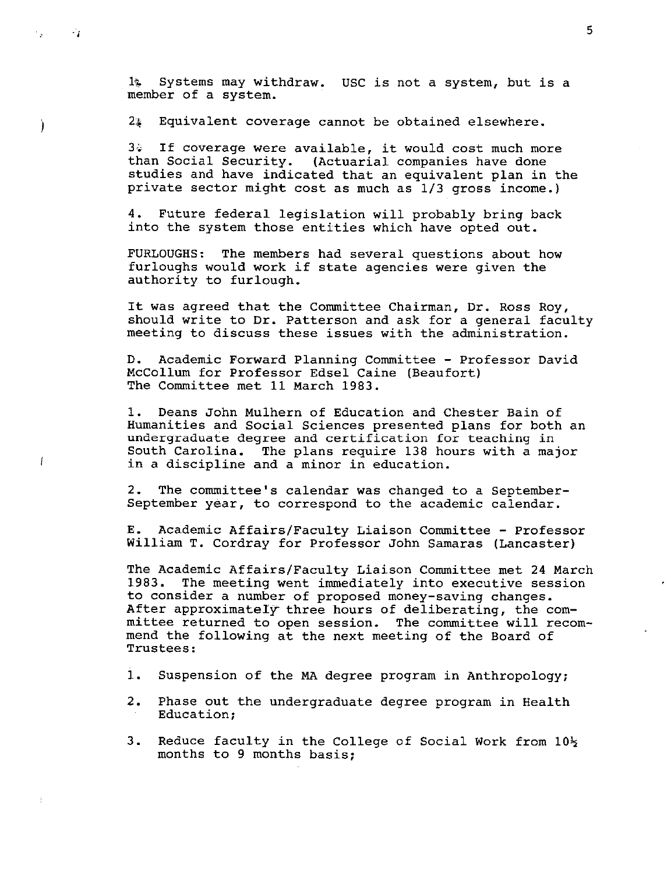1& Systems may withdraw. USC is not a system, but is a member of a system.

2~ Equivalent coverage cannot be obtained elsewhere.

٠.,

Ì

 $\boldsymbol{i}$ 

 $34$  If coverage were available, it would cost much more than Social Security. (Actuarial companies have done studies and have indicated that an equivalent plan in the private sector might cost as much as 1/3 gross income.)

4. Future federal legislation will probably bring back into the system those entities which have opted out.

FURLOUGHS: The members had several questions about how furloughs would work if state agencies were given the authority to furlough.

It was agreed that the Committee Chairman, Dr. Ross Roy, should write to Dr. Patterson and ask for a general faculty meeting to discuss these issues with the administration.

D. Academic Forward Planning Committee - Professor David Mccollum for Professor Edsel Caine (Beaufort) The Committee met 11 March 1983.

1. Deans John Mulhern of Education and Chester Bain of Humanities and Social Sciences presented plans for both an undergraduate degree and certification for teaching in South Carolina. The plans require 138 hours with a major in a discipline and a minor in education.

2. The committee's calendar was changed to a September-September year, to correspond to the academic calendar.

E. Academic Affairs/Faculty Liaison Committee - Professor William T. Cordray for Professor John Samaras (Lancaster)

The Academic Affairs/Faculty Liaison Committee met 24 March 1983. The meeting went immediately into executive session to consider a number of proposed money-saving changes. After approximately- three hours of deliberating, the committee returned to open session. The committee will recommend the following at the next meeting of the Board of Trustees:

1. Suspension of the MA degree program in Anthropology;

- 2. Phase out the undergraduate degree program in Health Education;
- 3. Reduce faculty in the College of Social Work from 10½ months to 9 months basis;

*-j* 5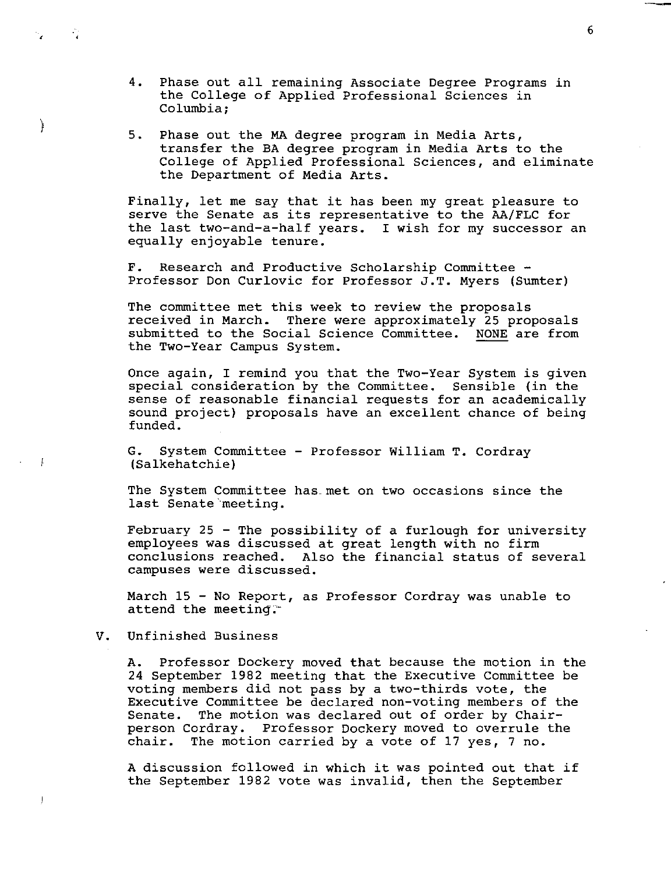- 4. Phase out all remaining Associate Degree Programs in the College of Applied Professional Sciences in Columbia;
- 5. Phase out the MA degree program in Media Arts, transfer the BA degree program in Media Arts to the College of Applied Professional Sciences, and eliminate the Department of Media Arts.

Finally, let me say that it has been my great pleasure to serve the Senate as its representative to the AA/FLC for the last two-and-a-half years. I wish for my successor an equally enjoyable tenure.

F. Research and Productive Scholarship Committee -Professor Don Curlovic for Professor J.T. Myers (Sumter)

The committee met this week to review the proposals received in March. There were approximately 25 proposals submitted to the Social Science Committee. NONE are from the Two-Year Campus System.

Once again, I remind you that the Two-Year System is given special consideration by the Committee. Sensible (in the sense of reasonable financial requests for an academically sound project) proposals have an excellent chance of being funded.

G. System Committee - Professor William T. Cordray (Salkehatchie)

The System Committee has met on two occasions since the last Senate'meeting.

February 25 - The possibility of a furlough for university employees was discussed at great length with no firm conclusions reached. Also the financial status of several campuses were discussed.

March 15 - No Report, as Professor Cordray was unable to attend the meeting.

## V. Unfinished Business

,

 $\mathcal{L}_{\mathcal{A}}$ 

j

 $\frac{1}{2}$ 

 $\begin{array}{c} \rule{0pt}{2ex} \rule{0pt}{2ex} \rule{0pt}{2ex} \rule{0pt}{2ex} \rule{0pt}{2ex} \rule{0pt}{2ex} \rule{0pt}{2ex} \rule{0pt}{2ex} \rule{0pt}{2ex} \rule{0pt}{2ex} \rule{0pt}{2ex} \rule{0pt}{2ex} \rule{0pt}{2ex} \rule{0pt}{2ex} \rule{0pt}{2ex} \rule{0pt}{2ex} \rule{0pt}{2ex} \rule{0pt}{2ex} \rule{0pt}{2ex} \rule{0pt}{2ex} \rule{0pt}{2ex} \rule{0pt}{2ex} \rule{0pt}{2ex} \rule{0pt}{$ 

A. Professor Dockery moved that because the motion in the 24 September 1982 meeting that the Executive Committee be voting members did not pass by a two-thirds vote, the Executive Committee be declared non-voting members of the Senate. The motion was declared out of order by Chair-<br>person Cordray. Professor Dockery moved to overrule the Professor Dockery moved to overrule the chair. The motion carried by a vote of 17 yes, 7 no.

A discussion followed in which it was pointed out that if the September 1982 vote was invalid, then the September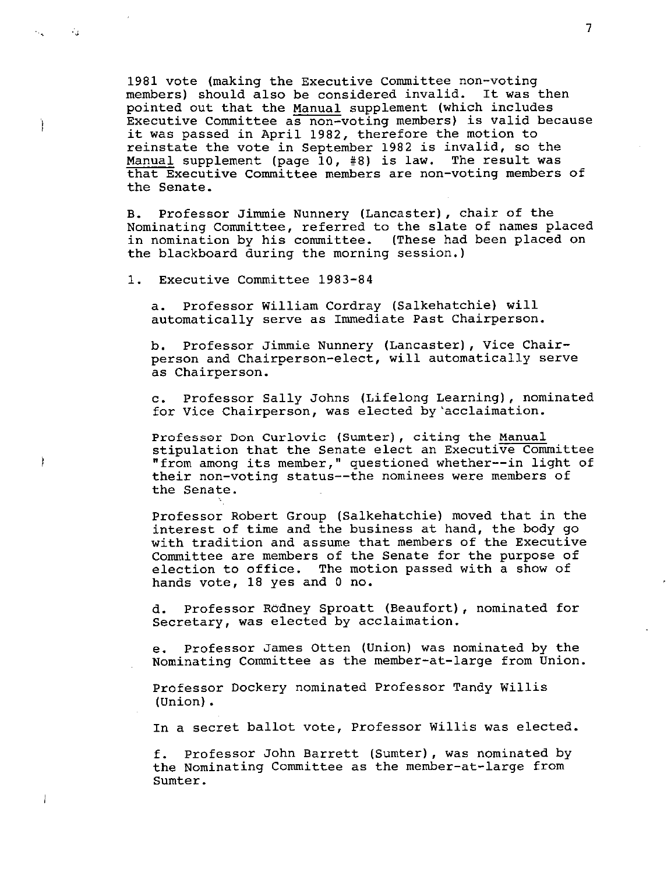1981 vote {making the Executive Committee non-voting members) should also be considered invalid. It was then pointed out that the Manual supplement (which includes Executive Committee as non-voting members) is valid because it was passed in April 1982, therefore the motion to reinstate the vote in September 1982 is invalid, so the Manual supplement (page 10, #8) is law. The result was that Executive Committee members are non-voting members of the Senate.

B. Professor Jimmie Nunnery {Lancaster), chair of the Nominating Committee, referred to the slate of names placed in nomination by his committee. (These had been placed on the blackboard during the morning session.)

1. Executive Committee 1983-84

Ì

ł

Ì

a. Professor William Cordray (Salkehatchie) will automatically serve as Immediate Past Chairperson.

b. Professor Jimmie Nunnery (Lancaster), Vice Chairperson and Chairperson-elect, will automatically serve as Chairperson.

c. Professor Sally Johns {Lifelong Learning), nominated for Vice Chairperson, was elected by'acclaimation.

Professor Don Curlovic {Sumter), citing the Manual stipulation that the Senate elect an Executive Committee "from among its member," questioned whether--in light of their non-voting status--the nominees were members of the Senate.

Professor Robert Group (Salkehatchie) moved that in the interest of time and the business at hand, the body go **with** tradition and assume that members of the Executive Committee are members of the Senate for the purpose of election to office. The motion passed with a show of hands vote, 18 yes and 0 no.

d. Professor Rbdney Sproatt {Beaufort), nominated for Secretary, was elected by acclaimation.

e. Professor James Otten (Union) was nominated by the Nominating Committee as the member-at-large from Union.

Professor Dockery nominated Professor Tandy Willis (Union) •

In a secret ballot vote, Professor Willis was elected.

f. Professor John Barrett (Sumter), was nominated by the Nominating Committee as the member-at-large from Sumter.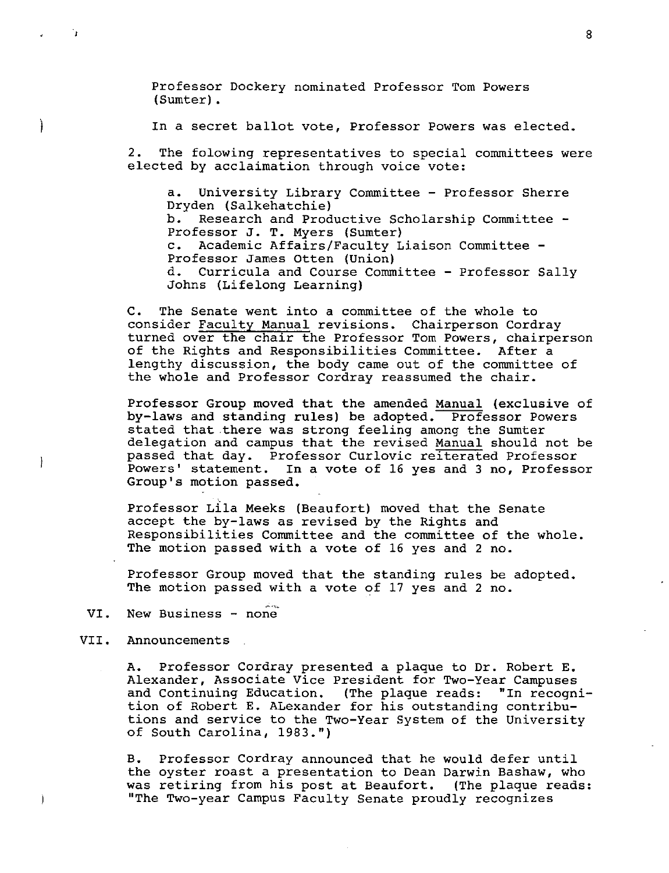Professor Dockery nominated Professor Tom Powers (Sumter).

In a secret ballot vote, Professor Powers was elected.

2. The folowing representatives to special committees were elected by acclaimation through voice vote:

a. University Library Committee - Professor Sherre Dryden (Salkehatchie) b. Research and Productive Scholarship Committee - Professor J. T. Myers (Sumter) c. Academic Affairs/Faculty Liaison Committee - Professor James Otten (Union) d. Curricula and Course Committee - Professor Sally Johns (Lifelong Learning)

C. The Senate went into a committee of the whole to consider Faculty Manual revisions. Chairperson Cordray turned over the chair the Professor Tom Powers, chairperson of the Rights and Responsibilities Committee. After a lengthy discussion, the body came out of the committee of the whole and Professor Cordray reassumed the chair.

Professor Group moved that the amended Manual (exclusive of by-laws and standing rules) be adopted. Professor Powers stated that there was strong feeling among the Sumter delegation and campus that the revised Manual should not be passed that day. Professor Curlovic reiterated Professor Powers' statement. In a vote of 16 yes and 3 no, Professor Group's motion passed.

Professor Lila Meeks (Beaufort) moved that the Senate accept the by-laws as revised by the Rights and Responsibilities Committee and the committee of the whole. The motion passed with a vote of 16 yes and 2 no.

Professor Group moved that the standing rules be adopted. The motion passed with a vote of 17 yes and 2 no.

- VI. New Business none
- VII. Announcements

ो

Ì

 $\frac{1}{l}$ 

j.

A. Professor Cordray presented a plaque to Dr. Robert E. Alexander, Associate Vice President for Two-Year Campuses and Continuing Education. (The plaque reads: "In recognition of Robert E. ALexander for his outstanding contributions and service to the Two-Year System of the University of South Carolina, 1983.")

B. Professor Cordray announced that he would defer until the oyster roast a presentation to Dean Darwin Bashaw, who was retiring from his post at Beaufort. (The plaque reads: "The Two-year Campus Faculty Senate proudly recognizes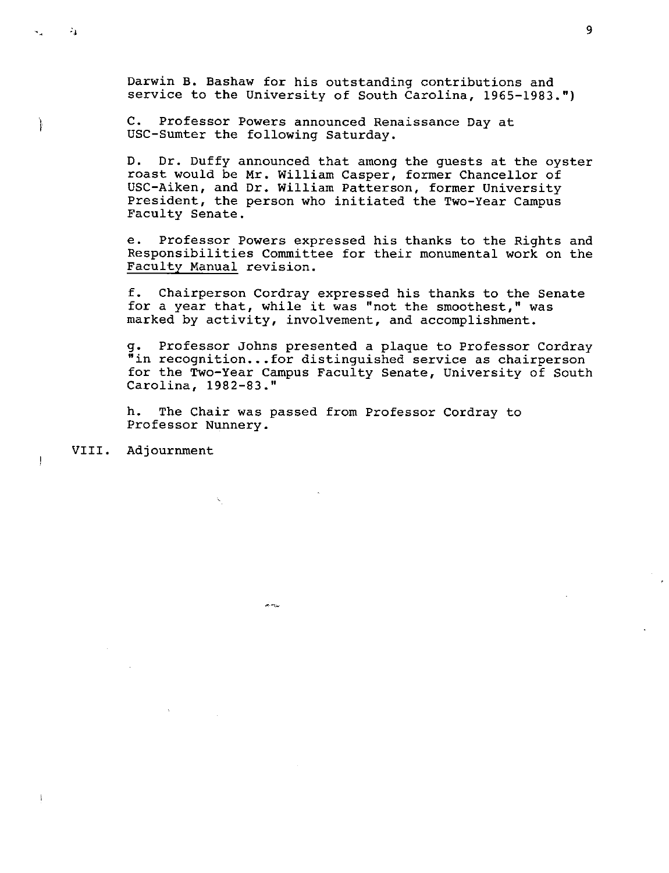Darwin B. Bashaw for his outstanding contributions and service to the University of South Carolina, 1965-1983.")

C. Professor Powers announced Renaissance Day at USC-Sumter the following Saturday.

D. Dr. Duffy announced that among the guests at the oyster roast would be Mr, William Casper, former Chancellor of USC-Aiken, and Dr. William Patterson, former University President, the person who initiated the Two-Year Campus Faculty Senate,

e. Professor Powers expressed his thanks to the Rights and Responsibilities Committee for their monumental work on the Faculty Manual revision.

f. Chairperson Cordray expressed his thanks to the Senate for a year that, while it was "not the smoothest," was marked by activity, involvement, and accomplishment.

g. Professor Johns presented a plaque to Professor Cordray "in recognition...for distinguished service as chairperson for the Two-Year Campus Faculty Senate, University of South Carolina, 1982-83."

h. The Chair was passed from Professor Cordray to Professor Nunnery.

 $\frac{1}{2\pi} \rho_{\rm{min}}$ 

VIII. Adjournment

े.

ł

 $\overline{\mathbf{r}}$